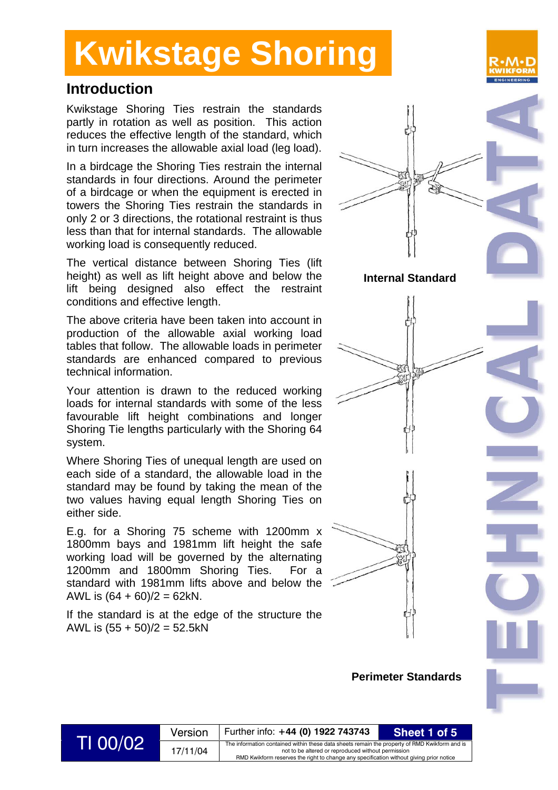### **Introduction**

Kwikstage Shoring Ties restrain the standards partly in rotation as well as position. This action reduces the effective length of the standard, which in turn increases the allowable axial load (leg load).

In a birdcage the Shoring Ties restrain the internal standards in four directions. Around the perimeter of a birdcage or when the equipment is erected in towers the Shoring Ties restrain the standards in only 2 or 3 directions, the rotational restraint is thus less than that for internal standards. The allowable working load is consequently reduced.

The vertical distance between Shoring Ties (lift height) as well as lift height above and below the lift being designed also effect the restraint conditions and effective length.

The above criteria have been taken into account in production of the allowable axial working load tables that follow. The allowable loads in perimeter standards are enhanced compared to previous technical information.

Your attention is drawn to the reduced working loads for internal standards with some of the less favourable lift height combinations and longer Shoring Tie lengths particularly with the Shoring 64 system.

Where Shoring Ties of unequal length are used on each side of a standard, the allowable load in the standard may be found by taking the mean of the two values having equal length Shoring Ties on either side.

E.g. for a Shoring 75 scheme with 1200mm x 1800mm bays and 1981mm lift height the safe working load will be governed by the alternating 1200mm and 1800mm Shoring Ties. For a standard with 1981mm lifts above and below the AWL is  $(64 + 60)/2 = 62kN$ .

If the standard is at the edge of the structure the AWL is  $(55 + 50)/2 = 52.5$ kN



### Version Further info: +44 (0) 1922 743743<br>The information contained within these data sheets remain the property of RMD Kwikform and is<br>not to be altered or reproduced without permission not to be altered or reproduced without permission RMD Kwikform reserves the right to change any specification without giving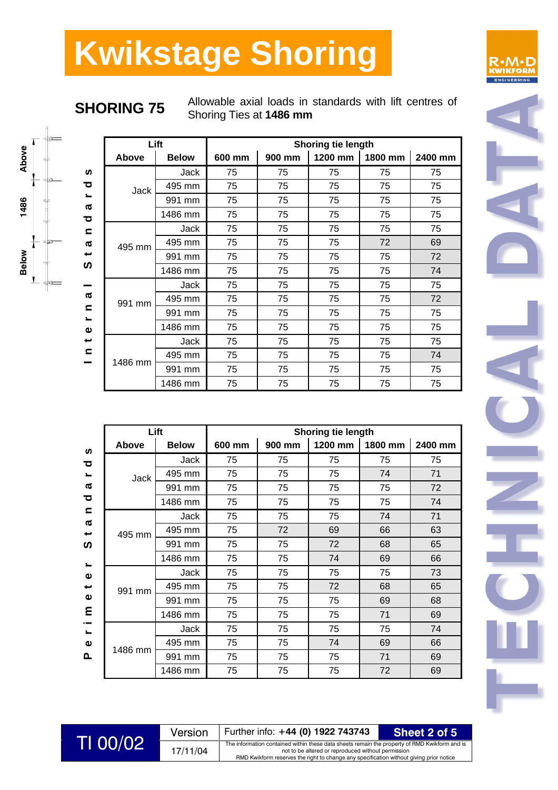**SHORING 75** Allowable axial loads in standards with lift centres of Shoring Ties at **1486 mm**

|                                                              |         | Lift         |        |        | Shoring tie length |         |         |
|--------------------------------------------------------------|---------|--------------|--------|--------|--------------------|---------|---------|
|                                                              | Above   | <b>Below</b> | 600 mm | 900 mm | 1200 mm            | 1800 mm | 2400 mm |
| S                                                            |         | Jack         | 75     | 75     | 75                 | 75      | 75      |
| ਠ                                                            | Jack    | 495 mm       | 75     | 75     | 75                 | 75      | 75      |
| $\mathbf{r}$<br>Ø                                            |         | 991 mm       | 75     | 75     | 75                 | 75      | 75      |
| ਠ                                                            |         | 1486 mm      | 75     | 75     | 75                 | 75      | 75      |
| $\mathbf{C}$                                                 |         | Jack         | 75     | 75     | 75                 | 75      | 75      |
| a                                                            | 495 mm  | 495 mm       | 75     | 75     | 75                 | 72      | 69      |
| ىپ                                                           |         | 991 mm       | 75     | 75     | 75                 | 75      | 72      |
| ທ                                                            |         | 1486 mm      | 75     | 75     | 75                 | 75      | 74      |
|                                                              |         | Jack         | 75     | 75     | 75                 | 75      | 75      |
| a                                                            | 991 mm  | 495 mm       | 75     | 75     | 75                 | 75      | 72      |
| $\mathbf{C}$<br>$\overline{\phantom{a}}$                     |         | 991 mm       | 75     | 75     | 75                 | 75      | 75      |
| $\pmb{\omega}$<br>$\overline{\phantom{0}}$<br>$\blacksquare$ |         | 1486 mm      | 75     | 75     | 75                 | 75      | 75      |
|                                                              |         | Jack         | 75     | 75     | 75                 | 75      | 75      |
|                                                              | 1486 mm | 495 mm       | 75     | 75     | 75                 | 75      | 74      |
|                                                              |         | 991 mm       | 75     | 75     | 75                 | 75      | 75      |
|                                                              |         | 1486 mm      | 75     | 75     | 75                 | 75      | 75      |

|                                                 |              | Lift         |        |        | <b>Shoring tie length</b> |         |         |
|-------------------------------------------------|--------------|--------------|--------|--------|---------------------------|---------|---------|
| <b>S</b>                                        | <b>Above</b> | <b>Below</b> | 600 mm | 900 mm | 1200 mm                   | 1800 mm | 2400 mm |
| ਹ                                               |              | Jack         | 75     | 75     | 75                        | 75      | 75      |
| $\blacksquare$                                  | Jack         | 495 mm       | 75     | 75     | 75                        | 74      | 71      |
| $\boldsymbol{\varpi}$                           |              | 991 mm       | 75     | 75     | 75                        | 75      | 72      |
| ਹ                                               |              | 1486 mm      | 75     | 75     | 75                        | 75      | 74      |
| $\blacksquare$                                  |              | Jack         | 75     | 75     | 75                        | 74      | 71      |
| $\pmb{\varpi}$<br>$\overline{\phantom{0}}$<br>ທ | 495 mm       | 495 mm       | 75     | 72     | 69                        | 66      | 63      |
|                                                 |              | 991 mm       | 75     | 75     | 72                        | 68      | 65      |
| $\blacksquare$                                  |              | 1486 mm      | 75     | 75     | 74                        | 69      | 66      |
| $\pmb{\omega}$                                  |              | Jack         | 75     | 75     | 75                        | 75      | 73      |
| ىپ                                              | 991 mm       | 495 mm       | 75     | 75     | 72                        | 68      | 65      |
| $\pmb{\omega}$                                  |              | 991 mm       | 75     | 75     | 75                        | 69      | 68      |
| ε                                               |              | 1486 mm      | 75     | 75     | 75                        | 71      | 69      |
| $\sim$<br>$\blacksquare$                        |              | <b>Jack</b>  | 75     | 75     | 75                        | 75      | 74      |
| $\pmb{\omega}$                                  |              | 495 mm       | 75     | 75     | 74                        | 69      | 66      |
| ௳                                               | 1486 mm      | 991 mm       | 75     | 75     | 75                        | 71      | 69      |
|                                                 |              | 1486 mm      | 75     | 75     | 75                        | 72      | 69      |



| TI 00/02 | Version  | Further info: +44 (0) 1922 743743                                                                                                                                                                                                              | Sheet 2 of 5 |
|----------|----------|------------------------------------------------------------------------------------------------------------------------------------------------------------------------------------------------------------------------------------------------|--------------|
|          | 17/11/04 | The information contained within these data sheets remain the property of RMD Kwikform and is<br>not to be altered or reproduced without permission<br>RMD Kwikform reserves the right to change any specification without giving prior notice |              |
|          |          |                                                                                                                                                                                                                                                |              |

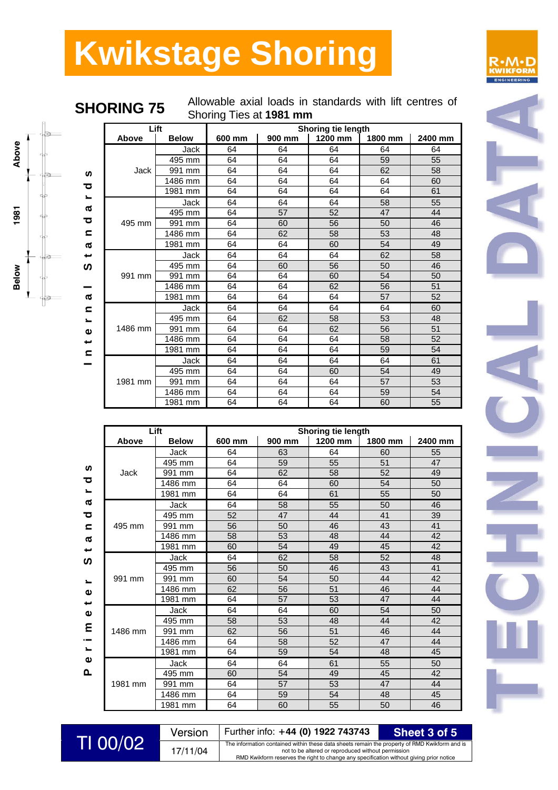



**SHORING 75** 

| Allowable axial loads in standards with lift centres of |  |  |  |  |  |  |
|---------------------------------------------------------|--|--|--|--|--|--|
| Shoring Ties at 1981 mm                                 |  |  |  |  |  |  |

|                          | Lift    |              |        |        | Shoring tie length |         |         |
|--------------------------|---------|--------------|--------|--------|--------------------|---------|---------|
|                          | Above   | <b>Below</b> | 600 mm | 900 mm | 1200 mm            | 1800 mm | 2400 mm |
|                          |         | Jack         | 64     | 64     | 64                 | 64      | 64      |
|                          |         | 495 mm       | 64     | 64     | 64                 | 59      | 55      |
| <b>S</b>                 | Jack    | 991 mm       | 64     | 64     | 64                 | 62      | 58      |
|                          |         | 1486 mm      | 64     | 64     | 64                 | 64      | 60      |
| ਠ                        |         | 1981 mm      | 64     | 64     | 64                 | 64      | 61      |
| $\blacksquare$           |         | Jack         | 64     | 64     | 64                 | 58      | 55      |
| σ                        |         | 495 mm       | 64     | 57     | 52                 | 47      | 44      |
| ਹ                        | 495 mm  | 991 mm       | 64     | 60     | 56                 | 50      | 46      |
| $\mathbf{C}$             |         | 1486 mm      | 64     | 62     | 58                 | 53      | 48      |
| π                        |         | 1981 mm      | 64     | 64     | 60                 | 54      | 49      |
| ىپ                       | 991 mm  | Jack         | 64     | 64     | 64                 | 62      | 58      |
| ທ                        |         | 495 mm       | 64     | 60     | 56                 | 50      | 46      |
|                          |         | 991 mm       | 64     | 64     | 60                 | 54      | 50      |
|                          |         | 1486 mm      | 64     | 64     | 62                 | 56      | 51      |
| π                        |         | 1981 mm      | 64     | 64     | 64                 | 57      | 52      |
| $\mathbf{C}$             |         | Jack         | 64     | 64     | 64                 | 64      | 60      |
| $\overline{\phantom{a}}$ |         | 495 mm       | 64     | 62     | 58                 | 53      | 48      |
| Φ                        | 1486 mm | 991 mm       | 64     | 64     | 62                 | 56      | 51      |
| پ                        |         | 1486 mm      | 64     | 64     | 64                 | 58      | 52      |
| $\epsilon$               |         | 1981 mm      | 64     | 64     | 64                 | 59      | 54      |
|                          |         | Jack         | 64     | 64     | 64                 | 64      | 61      |
|                          |         | 495 mm       | 64     | 64     | 60                 | 54      | 49      |
|                          | 1981 mm | 991 mm       | 64     | 64     | 64                 | 57      | 53      |
|                          |         | 1486 mm      | 64     | 64     | 64                 | 59      | 54      |
|                          |         | 1981 mm      | 64     | 64     | 64                 | 60      | 55      |

|         | Lift         |        | Shoring tie length |         |         |         |  |
|---------|--------------|--------|--------------------|---------|---------|---------|--|
| Above   | <b>Below</b> | 600 mm | 900 mm             | 1200 mm | 1800 mm | 2400 mm |  |
|         | Jack         | 64     | 63                 | 64      | 60      | 55      |  |
|         | 495 mm       | 64     | 59                 | 55      | 51      | 47      |  |
| Jack    | 991 mm       | 64     | 62                 | 58      | 52      | 49      |  |
|         | 1486 mm      | 64     | 64                 | 60      | 54      | 50      |  |
|         | 1981 mm      | 64     | 64                 | 61      | 55      | 50      |  |
|         | Jack         | 64     | 58                 | 55      | 50      | 46      |  |
|         | 495 mm       | 52     | 47                 | 44      | 41      | 39      |  |
| 495 mm  | 991 mm       | 56     | 50                 | 46      | 43      | 41      |  |
|         | 1486 mm      | 58     | 53                 | 48      | 44      | 42      |  |
|         | 1981 mm      | 60     | 54                 | 49      | 45      | 42      |  |
|         | Jack         | 64     | 62                 | 58      | 52      | 48      |  |
|         | 495 mm       | 56     | 50                 | 46      | 43      | 41      |  |
| 991 mm  | 991 mm       | 60     | 54                 | 50      | 44      | 42      |  |
|         | 1486 mm      | 62     | 56                 | 51      | 46      | 44      |  |
|         | 1981 mm      | 64     | 57                 | 53      | 47      | 44      |  |
|         | Jack         | 64     | 64                 | 60      | 54      | 50      |  |
|         | 495 mm       | 58     | 53                 | 48      | 44      | 42      |  |
| 1486 mm | 991 mm       | 62     | 56                 | 51      | 46      | 44      |  |
|         | 1486 mm      | 64     | 58                 | 52      | 47      | 44      |  |
|         | 1981 mm      | 64     | 59                 | 54      | 48      | 45      |  |
|         | Jack         | 64     | 64                 | 61      | 55      | 50      |  |
|         | 495 mm       | 60     | 54                 | 49      | 45      | 42      |  |
| 1981 mm | 991 mm       | 64     | 57                 | 53      | 47      | 44      |  |
|         | 1486 mm      | 64     | 59                 | 54      | 48      | 45      |  |
|         | 1981 mm      | 64     | 60                 | 55      | 50      | 46      |  |

| TI 00/02 | Version  | Further info: +44 (0) 1922 743743                                                                                                                   | Sheet 3 of 5 |  |
|----------|----------|-----------------------------------------------------------------------------------------------------------------------------------------------------|--------------|--|
|          | 17/11/04 | The information contained within these data sheets remain the property of RMD Kwikform and is<br>not to be altered or reproduced without permission |              |  |
|          |          | <b>DMD</b> Kwilcharm resenses the right to change any specification without giving prior potion                                                     |              |  |

| 22 743743                         | Sheet 3 of 5                                           |
|-----------------------------------|--------------------------------------------------------|
|                                   | data sheets remain the property of RMD Kwikform and is |
| or reproduced without permission. |                                                        |

RMD RMD RMD ENTERTMENT CONTROLLED FOR THE RESERVE TO THE RMD FOR THE RESERVE TO THE RMD FOR THE RMD FOR THE RMD FOR THE RMD FOR THE RMD FOR THE RMD FOR THE RMD FOR THE RMD FOR THE RMD FOR THE RMD FOR THE RMD FOR THE RMD FO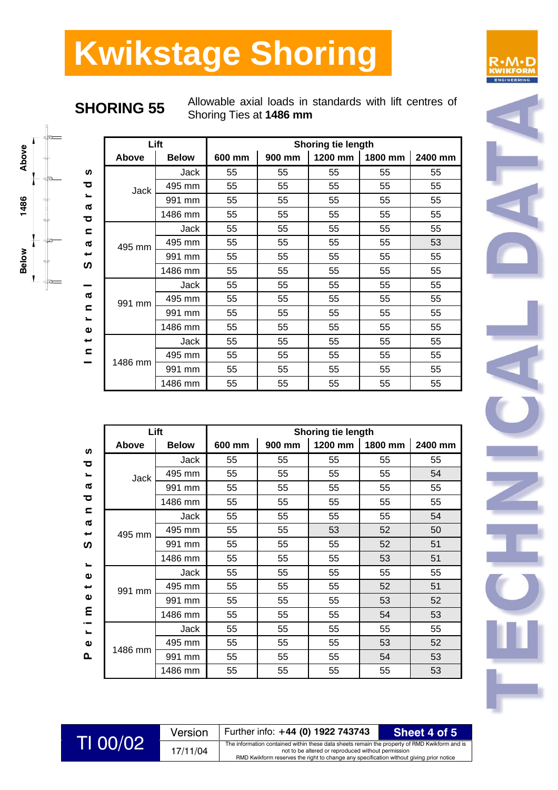**SHORING 55** Allowable axial loads in standards with lift centres of Shoring Ties at **1486 mm**

|                                          |         | Lift         |        |        | Shoring tie length |         |         |
|------------------------------------------|---------|--------------|--------|--------|--------------------|---------|---------|
|                                          | Above   | <b>Below</b> | 600 mm | 900 mm | 1200 mm            | 1800 mm | 2400 mm |
| ທ                                        |         | <b>Jack</b>  | 55     | 55     | 55                 | 55      | 55      |
| ठ                                        | Jack    | 495 mm       | 55     | 55     | 55                 | 55      | 55      |
| $\blacksquare$<br>ℼ                      |         | 991 mm       | 55     | 55     | 55                 | 55      | 55      |
| ठ                                        |         | 1486 mm      | 55     | 55     | 55                 | 55      | 55      |
| $\mathbf{C}$                             |         | Jack         | 55     | 55     | 55                 | 55      | 55      |
| σ                                        | 495 mm  | 495 mm       | 55     | 55     | 55                 | 55      | 53      |
| پ                                        |         | 991 mm       | 55     | 55     | 55                 | 55      | 55      |
| ທ                                        |         | 1486 mm      | 55     | 55     | 55                 | 55      | 55      |
|                                          |         | Jack         | 55     | 55     | 55                 | 55      | 55      |
| ത                                        | 991 mm  | 495 mm       | 55     | 55     | 55                 | 55      | 55      |
| $\mathbf{r}$<br>$\overline{\phantom{0}}$ |         | 991 mm       | 55     | 55     | 55                 | 55      | 55      |
| $\mathbf{\Omega}$<br>پ<br>$\subset$      |         | 1486 mm      | 55     | 55     | 55                 | 55      | 55      |
|                                          |         | Jack         | 55     | 55     | 55                 | 55      | 55      |
|                                          |         | 495 mm       | 55     | 55     | 55                 | 55      | 55      |
|                                          | 1486 mm | 991 mm       | 55     | 55     | 55                 | 55      | 55      |
|                                          |         | 1486 mm      | 55     | 55     | 55                 | 55      | 55      |

|                                                                                | Lift        |              | <b>Shoring tie length</b> |        |         |         |         |  |
|--------------------------------------------------------------------------------|-------------|--------------|---------------------------|--------|---------|---------|---------|--|
| ທ                                                                              | Above       | <b>Below</b> | 600 mm                    | 900 mm | 1200 mm | 1800 mm | 2400 mm |  |
| ਹ                                                                              |             | Jack         | 55                        | 55     | 55      | 55      | 55      |  |
| $\overline{\phantom{0}}$                                                       | <b>Jack</b> | 495 mm       | 55                        | 55     | 55      | 55      | 54      |  |
| ℼ                                                                              |             | 991 mm       | 55                        | 55     | 55      | 55      | 55      |  |
| ਠ                                                                              |             | 1486 mm      | 55                        | 55     | 55      | 55      | 55      |  |
| $\subset$                                                                      |             | Jack         | 55                        | 55     | 55      | 55      | 54      |  |
| σ<br>پ<br>ທ                                                                    | 495 mm      | 495 mm       | 55                        | 55     | 53      | 52      | 50      |  |
|                                                                                |             | 991 mm       | 55                        | 55     | 55      | 52      | 51      |  |
|                                                                                |             | 1486 mm      | 55                        | 55     | 55      | 53      | 51      |  |
| $\blacksquare$<br>$\pmb{\omega}$                                               |             | Jack         | 55                        | 55     | 55      | 55      | 55      |  |
| ىپ                                                                             | 991 mm      | 495 mm       | 55                        | 55     | 55      | 52      | 51      |  |
| $\pmb{\omega}$                                                                 |             | 991 mm       | 55                        | 55     | 55      | 53      | 52      |  |
| ε<br>$\overline{\phantom{0}}$<br>$\overline{\phantom{0}}$<br>$\mathbf{\Omega}$ |             | 1486 mm      | 55                        | 55     | 55      | 54      | 53      |  |
|                                                                                |             | Jack         | 55                        | 55     | 55      | 55      | 55      |  |
|                                                                                |             | 495 mm       | 55                        | 55     | 55      | 53      | 52      |  |
| ൨                                                                              | 1486 mm     | 991 mm       | 55                        | 55     | 55      | 54      | 53      |  |
|                                                                                |             | 1486 mm      | 55                        | 55     | 55      | 55      | 53      |  |





|           | Version  | Further info: +44 (0) 1922 743743                                                                                                                   | Sheet 4 of 5 |
|-----------|----------|-----------------------------------------------------------------------------------------------------------------------------------------------------|--------------|
| TI 00/021 | 17/11/04 | The information contained within these data sheets remain the property of RMD Kwikform and is<br>not to be altered or reproduced without permission |              |
|           |          | RMD Kwikform reserves the right to change any specification without giving prior notice                                                             |              |